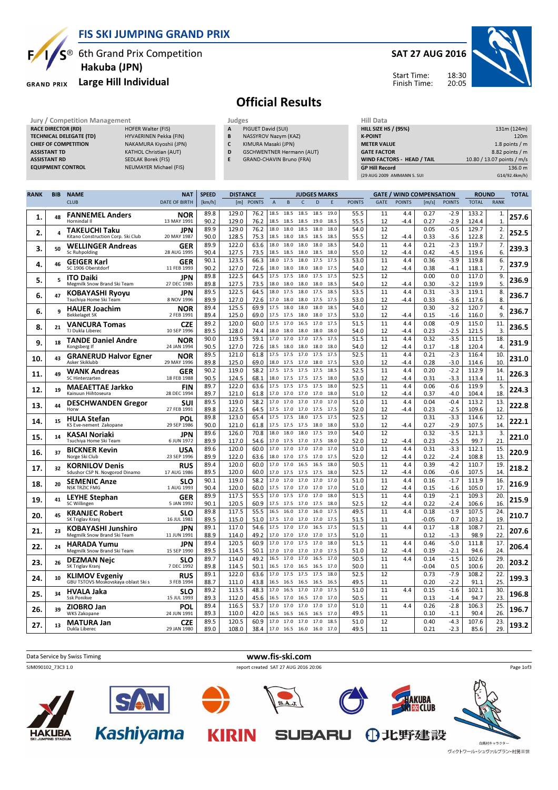

**RACE DIRECTOR (RD)** 

### FIS SKI JUMPING GRAND PRIX

**NEUMAYER Michael (FIS)** 

 $S^{\circledast}$  6th Grand Prix Competition Hakuba (JPN)

#### Large Hill Individual **GRAND PRIX**

TECHNICAL DELEGATE (TD) HYVAERINEN Pekka (FIN) CHIEF OF COMPETITION NAKAMURA Kiyoshii (JPN) ASSISTANT TD KATHOL Christian (AUT) ASSISTANT RD SEDLAK Borek (FIS)<br> **EQUIPMENT CONTROL** NEUMAYER Michae

### SAT 27 AUG 2016



Start Time: Finish Time:

# Official Results

Jury / Competition Management Judges<br>
RACE DIRECTOR (RD) HOFER Walter (FIS) A PIC

- PIGUET David (SUI) B NASSYROV Nazym (KAZ)
- C KIMURA Masaki (JPN)
- D GSCHWENTNER Hermann (AUT)
- E GRAND-CHAVIN Bruno (FRA)

| (29 AUG 2009 AMMANN S. SUI        | G14/92.4km/h)              |
|-----------------------------------|----------------------------|
| <b>GP Hill Record</b>             | 136.0 m                    |
| <b>WIND FACTORS - HEAD / TAIL</b> | 10.80 / 13.07 points / m/s |
| <b>GATE FACTOR</b>                | 8.82 points / m            |
| <b>METER VALUE</b>                | 1.8 points $/m$            |
| <b>K-POINT</b>                    | 120 <sub>m</sub>           |
| <b>HILL SIZE HS / (95%)</b>       | 131m (124m)                |
| HIII Data                         |                            |

| <b>RANK</b> | <b>BIB</b> | <b>NAME</b>                                                | <b>NAT</b>                | <b>SPEED</b> | <b>DISTANCE</b> |               |                |                   |                   | <b>JUDGES MARKS</b> |              |               | <b>GATE / WIND COMPENSATION</b> |               |                 |                  | <b>ROUND</b>   |                      | <b>TOTAL</b> |
|-------------|------------|------------------------------------------------------------|---------------------------|--------------|-----------------|---------------|----------------|-------------------|-------------------|---------------------|--------------|---------------|---------------------------------|---------------|-----------------|------------------|----------------|----------------------|--------------|
|             |            | <b>CLUB</b>                                                | <b>DATE OF BIRTH</b>      | [km/h]       | [m]             | <b>POINTS</b> | $\overline{A}$ | B                 | $\mathsf{C}$      | D                   | E            | <b>POINTS</b> | GATE                            | <b>POINTS</b> | [m/s]           | <b>POINTS</b>    | <b>TOTAL</b>   | <b>RANK</b>          |              |
| 1.          | 48         | <b>FANNEMEL Anders</b><br>Hornindal II                     | <b>NOR</b><br>13 MAY 1991 | 89.8<br>90.2 | 129.0<br>129.0  | 76.2<br>76.2  | 18.5<br>18.5   | 18.5<br>18.5      | 18.5<br>18.5      | 18.5<br>19.0        | 19.0<br>18.5 | 55.5<br>55.5  | 11<br>12                        | 4.4<br>-4.4   | 0.27<br>0.27    | $-2.9$<br>$-2.9$ | 133.2<br>124.4 | 1.<br>1              | 257.6        |
| 2.          | 4          | <b>TAKEUCHI Taku</b><br>Kitano Construction Corp. Ski Club | <b>JPN</b><br>20 MAY 1987 | 89.9<br>90.0 | 129.0<br>128.5  | 76.2<br>75.3  | 18.0<br>18.5   | 18.0<br>18.0      | 18.5<br>18.5      | 18.0<br>18.5        | 18.0<br>18.5 | 54.0<br>55.5  | 12<br>12                        | $-4.4$        | 0.05<br>0.33    | $-0.5$<br>$-3.6$ | 129.7<br>122.8 | 2.<br>$\overline{2}$ | 252.5        |
|             | 50         | <b>WELLINGER Andreas</b>                                   | GER                       | 89.9         | 122.0           | 63.6          | 18.0           | 18.0              | 18.0              | 18.0                | 18.5         | 54.0          | 11                              | 4.4           | 0.21            | $-2.3$           | 119.7          | 7.                   | 239.3        |
| 3.          |            | Sc Ruhpolding                                              | 28 AUG 1995               | 90.4         | 127.5           | 73.5          | 18.5           | 18.5              | 18.0              | 18.5                | 18.0         | 55.0          | 12                              | -4.4          | 0.42            | $-4.5$           | 119.6          | 6.                   |              |
| 4.          | 46         | <b>GEIGER Karl</b><br>SC 1906 Oberstdorf                   | GER<br>11 FEB 1993        | 90.1<br>90.2 | 123.5<br>127.0  | 66.3<br>72.6  | 18.0<br>18.0   | 17.5<br>18.0      | 18.0<br>18.0      | 17.5<br>18.0        | 17.5<br>17.5 | 53.0<br>54.0  | 11<br>12                        | 4.4<br>-4.4   | 0.36<br>0.38    | $-3.9$<br>$-4.1$ | 119.8<br>118.1 | 6.<br>7 <sub>1</sub> | 237.9        |
| 5.          | 5          | <b>ITO Daiki</b><br>Megmilk Snow Brand Ski Team            | <b>JPN</b><br>27 DEC 1985 | 89.8<br>89.8 | 122.5<br>127.5  | 64.5<br>73.5  | 17.5<br>18.0   | 17.5<br>18.0      | 18.0<br>18.0      | 17.5<br>18.0        | 17.5<br>18.5 | 52.5<br>54.0  | 12<br>12                        | $-4.4$        | 0.00<br>0.30    | 0.0<br>$-3.2$    | 117.0<br>119.9 | 9.<br>5.             | 236.9        |
| 6.          | 47         | <b>KOBAYASHI Ryoyu</b>                                     | JPN                       | 89.5         | 122.5           | 64.5          | 18.0           | 17.5              | 18.0              | 17.5                | 18.5         | 53.5          | 11                              | 4.4           | 0.31            | $-3.3$           | 119.1          | 8.                   | 236.7        |
|             |            | Tsuchiya Home Ski Team                                     | 8 NOV 1996                | 89.9         | 127.0           | 72.6          | 17.0           | 18.0              | 18.0              | 17.5                | 17.5         | 53.0          | 12                              | $-4.4$        | 0.33            | $-3.6$           | 117.6          | 8                    |              |
| 6.          | q          | <b>HAUER Joachim</b><br><b>Bekkelaget SK</b>               | <b>NOR</b><br>2 FEB 1991  | 89.4<br>89.4 | 125.5<br>125.0  | 69.9<br>69.0  | 17.5<br>17.5   | 18.0<br>17.5      | 18.0<br>18.0      | 18.0<br>18.0        | 18.5<br>17.5 | 54.0<br>53.0  | 12<br>12                        | $-4.4$        | 0.30<br>0.15    | $-3.2$<br>$-1.6$ | 120.7<br>116.0 | 4.<br>9              | 236.7        |
| 8.          | 21         | <b>VANCURA Tomas</b><br>TJ Dukla Liberec                   | <b>CZE</b><br>10 SEP 1996 | 89.2<br>89.5 | 120.0<br>128.0  | 60.0<br>74.4  | 17.5<br>18.0   | 17.0<br>18.0      | 16.5<br>18.0      | 17.0<br>18.0        | 17.5<br>18.0 | 51.5<br>54.0  | 11<br>12                        | 4.4<br>$-4.4$ | 0.08<br>0.23    | $-0.9$<br>$-2.5$ | 115.0<br>121.5 | 11.<br>3.            | 236.5        |
|             |            | <b>TANDE Daniel Andre</b>                                  | <b>NOR</b>                | 90.0         | 119.5           | 59.1          | 17.0           | 17.0              | 17.0              | 17.5                | 17.5         | 51.5          | 11                              | 4.4           | 0.32            | $-3.5$           | 111.5          | 18.                  |              |
| 9.          | 18         | Kongsberg If                                               | 24 JAN 1994               | 90.5         | 127.0           | 72.6          | 18.5           | 18.0              | 18.0              | 18.0                | 18.0         | 54.0          | 12                              | $-4.4$        | 0.17            | $-1.8$           | 120.4          | 4.                   | 231.9        |
| 10.         | 43         | <b>GRANERUD Halvor Egner</b><br>Asker Skiklubb             | <b>NOR</b><br>29 MAY 1996 | 89.5<br>89.8 | 121.0<br>125.0  | 61.8<br>69.0  | 17.5<br>18.0   | 17.5<br>17.5      | 17.0<br>17.0      | 17.5<br>18.0        | 17.5<br>17.5 | 52.5<br>53.0  | 11<br>12                        | 4.4<br>$-4.4$ | 0.21<br>0.28    | $-2.3$<br>$-3.0$ | 116.4<br>114.6 | 10<br>10             | 231.0        |
|             |            | <b>WANK Andreas</b>                                        | GER                       | 90.2         | 119.0           | 58.2          | 17.5           | 17.5 17.5         |                   | 17.5                | 18.5         | 52.5          | 11                              | 4.4           | 0.20            | $-2.2$           | 112.9          | 14.                  |              |
| 11.         | 49         | SC Hinterzarten                                            | 18 FEB 1988               | 90.5         | 124.5           | 68.1          | 18.0           | 17.5              | 17.5              | 17.5                | 18.0         | 53.0          | 12                              | -4.4          | 0.31            | $-3.3$           | 113.4          | 11.                  | 226.3        |
| 12.         | 19         | <b>MAEAETTAE Jarkko</b><br>Kainuun Hiihtoseura             | <b>FIN</b><br>28 DEC 1994 | 89.7<br>89.7 | 122.0<br>121.0  | 63.6<br>61.8  | 17.5<br>17.0   | 17.5<br>17.0      | 17.5<br>17.0 17.0 | 17.5                | 18.0<br>18.0 | 52.5<br>51.0  | 11<br>12                        | 4.4<br>$-4.4$ | 0.06<br>0.37    | $-0.6$<br>$-4.0$ | 119.9<br>104.4 | 5.<br>18             | 224.3        |
| 13.         | 44         | <b>DESCHWANDEN Gregor</b>                                  | <b>SUI</b>                | 89.5         | 119.0           | 58.2          | 17.0           | 17.0              | 17.0              | 17.0                | 17.0         | 51.0          | 11                              | 4.4           | 0.04            | $-0.4$           | 113.2          | 13.                  | 222.8        |
|             |            | Horw                                                       | 27 FEB 1991               | 89.8         | 122.5           | 64.5          | 17.5           | 17.0              | 17.0              | 17.5                | 17.5         | 52.0          | 12                              | -4.4          | 0.23            | $-2.5$           | 109.6          | 12                   |              |
| 14.         | 15         | <b>HULA Stefan</b><br>KS Eve-nement Zakopane               | POL<br>29 SEP 1986        | 89.8<br>90.0 | 123.0<br>121.0  | 65.4<br>61.8  | 17.5<br>17.5   | 17.5<br>17.5      | 18.0<br>17.5      | 17.5<br>18.0        | 17.5<br>18.0 | 52.5<br>53.0  | 12<br>12                        | $-4.4$        | 0.31<br>0.27    | $-3.3$<br>$-2.9$ | 114.6<br>107.5 | 12.<br>14.           | 222.1        |
| 15.         | 14         | KASAI Noriaki                                              | JPN                       | 89.6         | 126.0           | 70.8          | 18.0           | 18.0              | 18.0              | 17.5                | 19.0         | 54.0          | 12                              |               | 0.32            | $-3.5$           | 121.3          | 3.                   | 221.0        |
|             |            | Tsuchiya Home Ski Team<br><b>BICKNER Kevin</b>             | 6 JUN 1972<br>USA         | 89.9<br>89.6 | 117.0<br>120.0  | 54.6<br>60.0  | 17.0<br>17.0   | 17.5<br>17.0      | 17.0<br>17.0      | 17.5<br>17.0        | 18.0<br>17.0 | 52.0<br>51.0  | 12<br>11                        | $-4.4$<br>4.4 | 0.23<br>0.31    | $-2.5$<br>$-3.3$ | 99.7<br>112.1  | 21<br>15.            |              |
| 16.         | 37         | Norge Ski Club                                             | 23 SEP 1996               | 89.9         | 122.0           | 63.6          | 18.0           | 17.0              | 17.5              | 17.0                | 17.5         | 52.0          | 12                              | $-4.4$        | 0.22            | $-2.4$           | 108.8          | 13                   | 220.9        |
| 17.         | 32         | <b>KORNILOV Denis</b>                                      | <b>RUS</b>                | 89.4         | 120.0           | 60.0          | 17.0           | 17.0              | 16.5              | 16.5                | 18.0         | 50.5          | 11                              | 4.4           | 0.39            | $-4.2$           | 110.7          | 19                   | 218.2        |
|             |            | Sdushor CSP N. Novgorod Dinamo                             | 17 AUG 1986               | 89.5<br>90.1 | 120.0<br>119.0  | 60.0<br>58.2  | 17.0<br>17.0   | 17.5<br>17.0      | 17.5<br>17.0      | 17.5<br>17.0        | 18.0<br>17.0 | 52.5<br>51.0  | 12<br>11                        | $-4.4$<br>4.4 | 0.06<br>0.16    | $-0.6$<br>$-1.7$ | 107.5<br>111.9 | 14<br>16             |              |
| 18.         | 20         | <b>SEMENIC Anze</b><br><b>NSK TRZIC FMG</b>                | <b>SLO</b><br>1 AUG 1993  | 90.4         | 120.0           | 60.0          | 17.5           | 17.0              | 17.0              | 17.0                | 17.0         | 51.0          | 12                              | -4.4          | 0.15            | $-1.6$           | 105.0          | 17                   | 216.9        |
| 19.         | 41         | <b>LEYHE Stephan</b>                                       | <b>GER</b>                | 89.9         | 117.5           | 55.5          | 17.0           | 17.5              | 17.0              | 17.0                | 18.0         | 51.5          | 11                              | 4.4           | 0.19            | $-2.1$           | 109.3          | 20.                  | 215.9        |
|             |            | <b>SC Willingen</b>                                        | 5 JAN 1992                | 90.1<br>89.8 | 120.5<br>117.5  | 60.9<br>55.5  | 17.5<br>16.5   | 17.5<br>16.0      | 17.0<br>17.0      | 17.5<br>16.0        | 18.0<br>17.5 | 52.5<br>49.5  | 12<br>11                        | $-4.4$<br>4.4 | 0.22<br>0.18    | $-2.4$<br>$-1.9$ | 106.6<br>107.5 | 16<br>24.            |              |
| 20.         | 45         | <b>KRANJEC Robert</b><br>SK Triglav Kranj                  | <b>SLO</b><br>16 JUL 1981 | 89.5         | 115.0           | 51.0          | 17.5           | 17.0              | 17.0              | 17.0                | 17.5         | 51.5          | 11                              |               | $-0.05$         | 0.7              | 103.2          | 19                   | 210.7        |
| 21.         | 23         | <b>KOBAYASHI Junshiro</b><br>Megmilk Snow Brand Ski Team   | JPN<br>11 JUN 1991        | 89.1<br>88.9 | 117.0<br>114.0  | 54.6<br>49.2  | 17.5<br>17.0   | 17.0<br>17.0      | 17.0<br>17.0      | 16.5<br>17.0        | 17.5<br>17.5 | 51.5<br>51.0  | 11<br>11                        | 4.4           | 0.17<br>0.12    | $-1.8$<br>$-1.3$ | 108.7<br>98.9  | 21.<br>22            | 207.6        |
|             | 24         | <b>HARADA Yumu</b>                                         | <b>JPN</b>                | 89.4         | 120.5           | 60.9          | 17.0           | 17.0              | 17.5              | 17.0                | 18.0         | 51.5          | 11                              | 4.4           | 0.46            | $-5.0$           | 111.8          | 17.                  |              |
| 22.         |            | Megmilk Snow Brand Ski Team                                | 15 SEP 1990               | 89.5         | 114.5           | 50.1          | 17.0           | 17.0              | 17.0              | 17.0                | 17.5         | 51.0          | 12                              | $-4.4$        | 0.19            | $-2.1$           | 94.6           | 24.                  | 206.4        |
| 23.         | 26         | <b>DEZMAN Nejc</b><br>SK Triglav Kranj                     | <b>SLO</b><br>7 DEC 1992  | 89.7<br>89.8 | 114.0<br>114.5  | 49.2<br>50.1  | 16.5<br>16.5   | 17.0<br>17.0      | 17.0<br>16.5      | 16.5<br>16.5        | 17.0<br>17.0 | 50.5<br>50.0  | 11<br>11                        | 4.4           | 0.14<br>$-0.04$ | $-1.5$<br>0.5    | 102.6<br>100.6 | 29<br>20             | 203.2        |
|             |            | <b>KLIMOV Evgeniy</b>                                      | <b>RUS</b>                | 89.1         | 122.0           | 63.6          | 17.0           | 17.5              | 17.5              | 17.5                | 18.0         | 52.5          | 12                              |               | 0.73            | $-7.9$           | 108.2          | 22.                  |              |
| 24.         | 10         | GBU TSTOVS Moskovskaya oblast Ski s                        | 3 FEB 1994                | 88.7         | 111.0           | 43.8          | 16.5           | 16.5              | 16.5              | 16.5                | 16.5         | 49.5          | 11                              |               | 0.20            | $-2.2$           | 91.1           | 25.                  | 199.3        |
| 25.         | 34         | HVALA Jaka<br>Ssk Ponikve                                  | <b>SLO</b><br>15 JUL 1993 | 89.2<br>89.3 | 113.5<br>112.0  | 48.3<br>45.6  | 17.0<br>16.5   | 16.5<br>17.0      | 17.0<br>16.5      | 17.0<br>17.0        | 17.5<br>17.0 | 51.0<br>50.5  | 11<br>11                        | 4.4           | 0.15<br>0.13    | $-1.6$<br>$-1.4$ | 102.1<br>94.7  | 30<br>23.            | 196.8        |
| 26.         | 39         | ZIOBRO Jan                                                 | POL                       | 89.4         | 116.5           | 53.7          | 17.0           | 17.0              | 17.0              | 17.0                | 17.0         | 51.0          | 11                              | 4.4           | 0.26            | $-2.8$           | 106.3          | 25                   | 196.7        |
|             |            | <b>WKS Zakopane</b>                                        | 24 JUN 1991               | 89.3<br>89.5 | 110.0<br>120.5  | 42.0<br>60.9  | 16.5           | 16.5              | 16.5              | 16.5                | 17.0         | 49.5<br>51.0  | 11<br>12                        |               | 0.10<br>0.40    | $-1.1$<br>$-4.3$ | 90.4<br>107.6  | 26<br>23.            |              |
| 27.         | 13         | <b>MATURA Jan</b><br>Dukla Liberec                         | <b>CZE</b><br>29 JAN 1980 | 89.0         | 108.0           | 38.4          | 17.0<br>17.0   | 17.0<br>16.5 16.0 | 17.0              | 17.0<br>16.0        | 18.5<br>17.0 | 49.5          | 11                              |               | 0.21            | $-2.3$           | 85.6           | 29                   | 193.2        |



ヴィクトワール・シュヴァルブラン・村男川世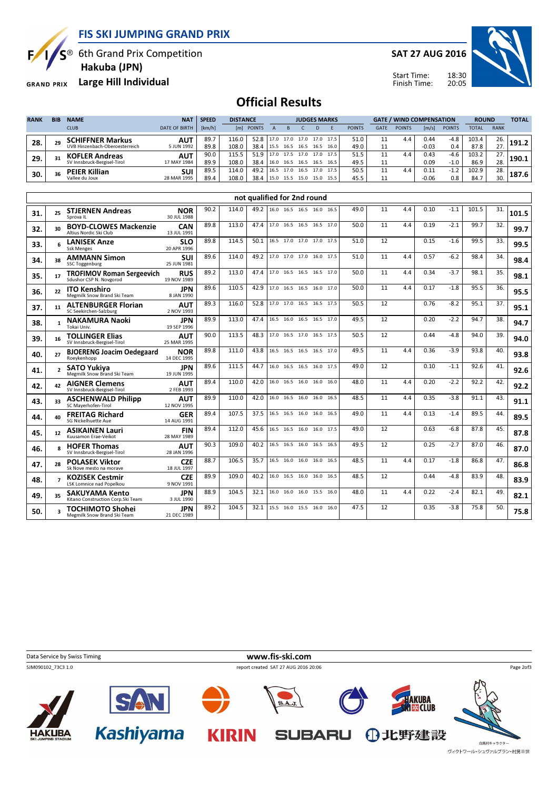FIS SKI JUMPING GRAND PRIX



 $S^{\circledast}$  6th Grand Prix Competition

Hakuba (JPN)

GRAND PRIX Large Hill Individual

SAT 27 AUG 2016



Start Time: Finish Time:

## Official Results

| <b>RANK</b> | <b>BIB</b> | <b>NAME</b>                    | <b>NAT</b>           | <b>SPEED</b> | <b>DISTANCE</b> |               | <b>JUDGES MARKS</b> |      |           |      |      | <b>GATE / WIND COMPENSATION</b> |      |               |                       | <b>ROUND</b>  |              | <b>TOTAL</b> |       |
|-------------|------------|--------------------------------|----------------------|--------------|-----------------|---------------|---------------------|------|-----------|------|------|---------------------------------|------|---------------|-----------------------|---------------|--------------|--------------|-------|
|             |            | <b>CLUB</b>                    | <b>DATE OF BIRTH</b> | [km/h]       | [ml]            | <b>POINTS</b> |                     |      |           |      |      | <b>POINTS</b>                   | GATE | <b>POINTS</b> | $\lfloor m/s \rfloor$ | <b>POINTS</b> | <b>TOTAL</b> | <b>RANK</b>  |       |
| 28.         |            | <b>SCHIFFNER Markus</b>        | AUT                  | 89.7         | 116.0           | 52.8          | 17.0                | 17.0 | 17.0      | 17.0 | 17.5 | 51.0                            |      | 4.4           | 0.44                  | $-4.8$        | 103.4        | 26.          |       |
|             |            | UVB Hinzenbach-Oberoesterreich | 5 JUN 1992           | 89.8         | 108.0           | 38.4          | 15.5                | 16.5 | 16.5      | 16.5 | 16.0 | 49.0                            |      |               | $-0.03$               | 0.4           | 87.8         | 27.          |       |
| 29.         |            | <b>KOFLER Andreas</b>          | <b>AUT</b>           | 90.0         | 115.5           | 51.9          | 17.0                | 17.5 | 17.0      | 17.0 | 17.5 | 51.5                            |      | 4.4           | 0.43                  | $-4.6$        | 103.2        | 27.          | 190.1 |
|             |            | SV Innsbruck-Bergisel-Tirol    | 17 MAY 1984          | 89.9         | 108.0           | 38.4          | 16.0                | 16.5 | 16.5 16.5 |      | 16.5 | 49.5                            |      |               | 0.09                  | $-1.0$        | 86.9         | 28.          |       |
| 30.         |            | <b>PEIER Killian</b>           | <b>SUI</b>           | 89.5         | 114.0           | 49.2          | 16.5                | 17.0 | 16.5      | 17.0 | 17.5 | 50.5                            |      | 4.4           | 0.11                  | $-1.2$        | 102.9        | 28.          |       |
|             |            | Vallee du Joux                 | 28 MAR 1995          | 89.4         | 108.0           | 38.4          | 15.0                | 15.5 | 15.0      | 15.0 | 15.5 | 45.5                            |      |               | $-0.06$               | 0.8           | 84.7         | 30.          | 187.6 |

|     |    |                                                             | not qualified for 2nd round |      |       |      |  |                          |  |  |      |      |    |     |      |        |       |     |       |
|-----|----|-------------------------------------------------------------|-----------------------------|------|-------|------|--|--------------------------|--|--|------|------|----|-----|------|--------|-------|-----|-------|
| 31. | 25 | <b>STJERNEN Andreas</b><br>Sprova II                        | <b>NOR</b><br>30 JUL 1988   | 90.2 | 114.0 | 49.2 |  | 16.0 16.5 16.5 16.0 16.5 |  |  |      | 49.0 | 11 | 4.4 | 0.10 | $-1.1$ | 101.5 | 31. | 101.5 |
| 32. | 30 | <b>BOYD-CLOWES Mackenzie</b><br>Altius Nordic Ski Club      | <b>CAN</b><br>13 JUL 1991   | 89.8 | 113.0 | 47.4 |  | 17.0 16.5 16.5 16.5 17.0 |  |  |      | 50.0 | 11 | 4.4 | 0.19 | $-2.1$ | 99.7  | 32. | 99.7  |
| 33. |    | <b>LANISEK Anze</b><br><b>Ssk Menges</b>                    | <b>SLO</b><br>20 APR 1996   | 89.8 | 114.5 | 50.1 |  | 16.5 17.0 17.0 17.0      |  |  | 17.5 | 51.0 | 12 |     | 0.15 | $-1.6$ | 99.5  | 33. | 99.5  |
| 34. | 38 | <b>AMMANN Simon</b><br><b>SSC Toggenburg</b>                | SUI<br>25 JUN 1981          | 89.6 | 114.0 | 49.2 |  | 17.0 17.0 17.0 16.0 17.5 |  |  |      | 51.0 | 11 | 4.4 | 0.57 | $-6.2$ | 98.4  | 34. | 98.4  |
| 35. | 17 | <b>TROFIMOV Roman Sergeevich</b><br>Sdushor CSP N. Novgorod | <b>RUS</b><br>19 NOV 1989   | 89.2 | 113.0 | 47.4 |  | 17.0 16.5 16.5 16.5 17.0 |  |  |      | 50.0 | 11 | 4.4 | 0.34 | $-3.7$ | 98.1  | 35. | 98.1  |
| 36. | 22 | <b>ITO Kenshiro</b><br>Megmilk Snow Brand Ski Team          | <b>JPN</b><br>8 JAN 1990    | 89.6 | 110.5 | 42.9 |  | 17.0 16.5 16.5 16.0 17.0 |  |  |      | 50.0 | 11 | 4.4 | 0.17 | $-1.8$ | 95.5  | 36. | 95.5  |
| 37. | 11 | <b>ALTENBURGER Florian</b><br>SC Seekirchen-Salzburg        | <b>AUT</b><br>2 NOV 1993    | 89.3 | 116.0 | 52.8 |  | 17.0 17.0 16.5 16.5 17.5 |  |  |      | 50.5 | 12 |     | 0.76 | $-8.2$ | 95.1  | 37. | 95.1  |
| 38. |    | <b>NAKAMURA Naoki</b><br>Tokai Univ.                        | <b>JPN</b><br>19 SEP 1996   | 89.9 | 113.0 | 47.4 |  | 16.5 16.0 16.5 16.5 17.0 |  |  |      | 49.5 | 12 |     | 0.20 | $-2.2$ | 94.7  | 38. | 94.7  |
| 39. | 16 | <b>TOLLINGER Elias</b><br>SV Innsbruck-Bergisel-Tirol       | <b>AUT</b><br>25 MAR 1995   | 90.0 | 113.5 | 48.3 |  | 17.0 16.5 17.0 16.5 17.5 |  |  |      | 50.5 | 12 |     | 0.44 | $-4.8$ | 94.0  | 39. | 94.0  |
| 40. | 27 | <b>BJOERENG Joacim Oedegaard</b><br>Roeykenhopp             | <b>NOR</b><br>14 DEC 1995   | 89.8 | 111.0 | 43.8 |  | 16.5 16.5 16.5 16.5 17.0 |  |  |      | 49.5 | 11 | 4.4 | 0.36 | $-3.9$ | 93.8  | 40. | 93.8  |
| 41. |    | <b>SATO Yukiva</b><br>Megmilk Snow Brand Ski Team           | <b>JPN</b><br>19 JUN 1995   | 89.6 | 111.5 | 44.7 |  | 16.0 16.5 16.5 16.0 17.5 |  |  |      | 49.0 | 12 |     | 0.10 | $-1.1$ | 92.6  | 41. | 92.6  |
| 42. | 42 | <b>AIGNER Clemens</b><br>SV Innsbruck-Bergisel-Tirol        | <b>AUT</b><br>2 FEB 1993    | 89.4 | 110.0 | 42.0 |  | 16.0 16.5 16.0 16.0      |  |  | 16.0 | 48.0 | 11 | 4.4 | 0.20 | $-2.2$ | 92.2  | 42. | 92.2  |
| 43. | 33 | <b>ASCHENWALD Philipp</b><br>SC Maverhofen-Tirol            | <b>AUT</b><br>12 NOV 1995   | 89.9 | 110.0 | 42.0 |  | 16.0 16.5 16.0 16.0 16.5 |  |  |      | 48.5 | 11 | 4.4 | 0.35 | $-3.8$ | 91.1  | 43. | 91.1  |
| 44. | 40 | <b>FREITAG Richard</b><br><b>SG Nickelhuette Aue</b>        | <b>GER</b><br>14 AUG 1991   | 89.4 | 107.5 | 37.5 |  | 16.5 16.5 16.0 16.0 16.5 |  |  |      | 49.0 | 11 | 4.4 | 0.13 | $-1.4$ | 89.5  | 44. | 89.5  |
| 45. | 12 | <b>ASIKAINEN Lauri</b><br>Kuusamon Frae-Veikot              | <b>FIN</b><br>28 MAY 1989   | 89.4 | 112.0 | 45.6 |  | 16.5 16.5 16.0 16.0      |  |  | 17.5 | 49.0 | 12 |     | 0.63 | $-6.8$ | 87.8  | 45. | 87.8  |
| 46. |    | <b>HOFER Thomas</b><br>SV Innsbruck-Bergisel-Tirol          | <b>AUT</b><br>28 JAN 1996   | 90.3 | 109.0 | 40.2 |  | 16.5 16.5 16.0 16.5 16.5 |  |  |      | 49.5 | 12 |     | 0.25 | $-2.7$ | 87.0  | 46. | 87.0  |
| 47. | 28 | <b>POLASEK Viktor</b><br>Sk Nove mesto na morave            | <b>CZE</b><br>18 JUL 1997   | 88.7 | 106.5 | 35.7 |  | 16.5 16.0 16.0 16.0 16.5 |  |  |      | 48.5 | 11 | 4.4 | 0.17 | $-1.8$ | 86.8  | 47. | 86.8  |
| 48. |    | <b>KOZISEK Cestmir</b><br><b>LSK Lomnice nad Popelkou</b>   | <b>CZE</b><br>9 NOV 1991    | 89.9 | 109.0 | 40.2 |  | 16.0 16.5 16.0 16.0 16.5 |  |  |      | 48.5 | 12 |     | 0.44 | $-4.8$ | 83.9  | 48. | 83.9  |
| 49. | 35 | <b>SAKUYAMA Kento</b><br>Kitano Construction Corp. Ski Team | <b>JPN</b><br>3 JUL 1990    | 88.9 | 104.5 | 32.1 |  | 16.0 16.0 16.0 15.5 16.0 |  |  |      | 48.0 | 11 | 4.4 | 0.22 | $-2.4$ | 82.1  | 49. | 82.1  |
| 50. |    | <b>TOCHIMOTO Shohei</b><br>Megmilk Snow Brand Ski Team      | <b>JPN</b><br>21 DEC 1989   | 89.2 | 104.5 | 32.1 |  | 15.5 16.0 15.5 16.0 16.0 |  |  |      | 47.5 | 12 |     | 0.35 | $-3.8$ | 75.8  | 50. | 75.8  |

Data Service by Swiss Timing **www.fis-ski.com** SJM090102\_73C3 1.0 report created SAT 27 AUG 2016 20:06 Page 2of3**AKUBA<br>IX CLUB** SA  $S.A.J.$ **Kashiyama** KIRIN SUBARU 10北野建設 **HAKUBA** 白馬村キャラクタ

ヴィクトワール・シュヴァルブラン・村男Ⅲ世